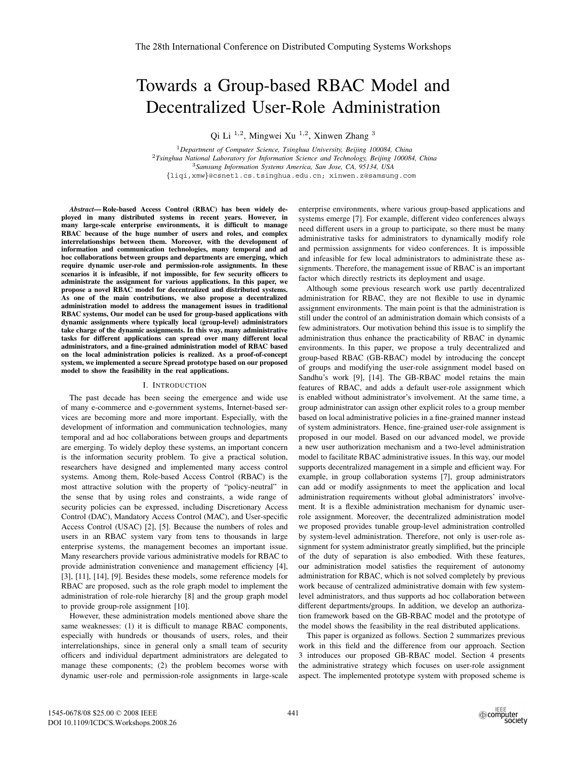# Towards a Group-based RBAC Model and Decentralized User-Role Administration

Qi Li <sup>1</sup>*,*2, Mingwei Xu <sup>1</sup>*,*2, Xinwen Zhang <sup>3</sup>

*Department of Computer Science, Tsinghua University, Beijing 100084, China Tsinghua National Laboratory for Information Science and Technology, Beijing 100084, China Samsung Information Systems America, San Jose, CA, 95134, USA* {liqi,xmw}@csnet1.cs.tsinghua.edu.cn; xinwen.z@samsung.com

*Abstract***— Role-based Access Control (RBAC) has been widely deployed in many distributed systems in recent years. However, in many large-scale enterprise environments, it is difficult to manage RBAC because of the huge number of users and roles, and complex interrelationships between them. Moreover, with the development of information and communication technologies, many temporal and ad hoc collaborations between groups and departments are emerging, which require dynamic user-role and permission-role assignments. In these scenarios it is infeasible, if not impossible, for few security officers to administrate the assignment for various applications. In this paper, we propose a novel RBAC model for decentralized and distributed systems. As one of the main contributions, we also propose a decentralized administration model to address the management issues in traditional RBAC systems, Our model can be used for group-based applications with dynamic assignments where typically local (group-level) administrators take charge of the dynamic assignments. In this way, many administrative tasks for different applications can spread over many different local administrators, and a fine-grained administration model of RBAC based on the local administration policies is realized. As a proof-of-concept system, we implemented a secure Spread prototype based on our proposed model to show the feasibility in the real applications.**

#### I. INTRODUCTION

The past decade has been seeing the emergence and wide use of many e-commerce and e-government systems, Internet-based services are becoming more and more important. Especially, with the development of information and communication technologies, many temporal and ad hoc collaborations between groups and departments are emerging. To widely deploy these systems, an important concern is the information security problem. To give a practical solution, researchers have designed and implemented many access control systems. Among them, Role-based Access Control (RBAC) is the most attractive solution with the property of "policy-neutral" in the sense that by using roles and constraints, a wide range of security policies can be expressed, including Discretionary Access Control (DAC), Mandatory Access Control (MAC), and User-specific Access Control (USAC) [2], [5]. Because the numbers of roles and users in an RBAC system vary from tens to thousands in large enterprise systems, the management becomes an important issue. Many researchers provide various administrative models for RBAC to provide administration convenience and management efficiency [4], [3], [11], [14], [9]. Besides these models, some reference models for RBAC are proposed, such as the role graph model to implement the administration of role-role hierarchy [8] and the group graph model to provide group-role assignment [10].

However, these administration models mentioned above share the same weaknesses: (1) it is difficult to manage RBAC components, especially with hundreds or thousands of users, roles, and their interrelationships, since in general only a small team of security officers and individual department administrators are delegated to manage these components; (2) the problem becomes worse with dynamic user-role and permission-role assignments in large-scale

enterprise environments, where various group-based applications and systems emerge [7]. For example, different video conferences always need different users in a group to participate, so there must be many administrative tasks for administrators to dynamically modify role and permission assignments for video conferences. It is impossible and infeasible for few local administrators to administrate these assignments. Therefore, the management issue of RBAC is an important factor which directly restricts its deployment and usage.

Although some previous research work use partly decentralized administration for RBAC, they are not flexible to use in dynamic assignment environments. The main point is that the administration is still under the control of an administration domain which consists of a few administrators. Our motivation behind this issue is to simplify the administration thus enhance the practicability of RBAC in dynamic environments. In this paper, we propose a truly decentralized and group-based RBAC (GB-RBAC) model by introducing the concept of groups and modifying the user-role assignment model based on Sandhu's work [9], [14]. The GB-RBAC model retains the main features of RBAC, and adds a default user-role assignment which is enabled without administrator's involvement. At the same time, a group administrator can assign other explicit roles to a group member based on local administrative policies in a fine-grained manner instead of system administrators. Hence, fine-grained user-role assignment is proposed in our model. Based on our advanced model, we provide a new user authorization mechanism and a two-level administration model to facilitate RBAC administrative issues. In this way, our model supports decentralized management in a simple and efficient way. For example, in group collaboration systems [7], group administrators can add or modify assignments to meet the application and local administration requirements without global administrators' involvement. It is a flexible administration mechanism for dynamic userrole assignment. Moreover, the decentralized administration model we proposed provides tunable group-level administration controlled by system-level administration. Therefore, not only is user-role assignment for system administrator greatly simplified, but the principle of the duty of separation is also embodied. With these features, our administration model satisfies the requirement of autonomy administration for RBAC, which is not solved completely by previous work because of centralized administrative domain with few systemlevel administrators, and thus supports ad hoc collaboration between different departments/groups. In addition, we develop an authorization framework based on the GB-RBAC model and the prototype of the model shows the feasibility in the real distributed applications.

This paper is organized as follows. Section 2 summarizes previous work in this field and the difference from our approach. Section 3 introduces our proposed GB-RBAC model. Section 4 presents the administrative strategy which focuses on user-role assignment aspect. The implemented prototype system with proposed scheme is

441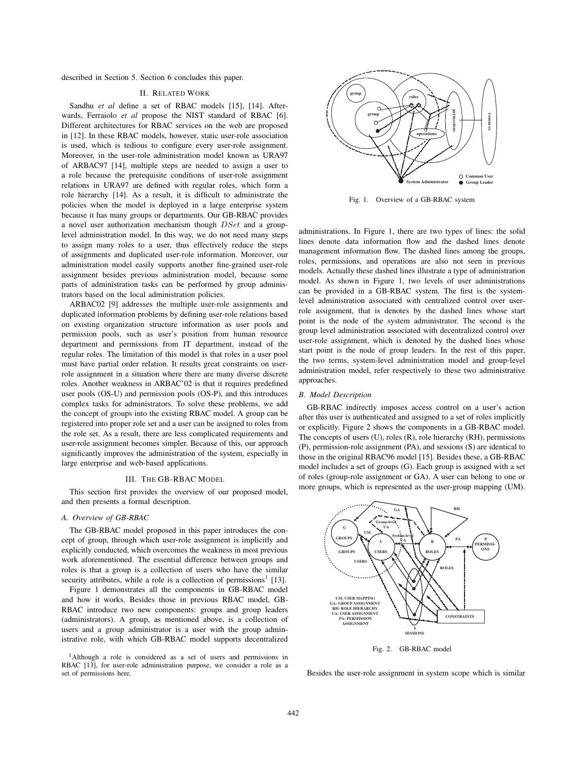described in Section 5. Section 6 concludes this paper.

## II. RELATED WORK

Sandhu *et al* define a set of RBAC models [15], [14]. Afterwards, Ferraiolo *et al* propose the NIST standard of RBAC [6]. Different architectures for RBAC services on the web are proposed in [12]. In these RBAC models, however, static user-role association is used, which is tedious to configure every user-role assignment. Moreover, in the user-role administration model known as URA97 of ARBAC97 [14], multiple steps are needed to assign a user to a role because the prerequisite conditions of user-role assignment relations in URA97 are defined with regular roles, which form a role hierarchy [14]. As a result, it is difficult to administrate the policies when the model is deployed in a large enterprise system because it has many groups or departments. Our GB-RBAC provides a novel user authorization mechanism though *DSet* and a grouplevel administration model. In this way, we do not need many steps to assign many roles to a user, thus effectively reduce the steps of assignments and duplicated user-role information. Moreover, our administration model easily supports another fine-grained user-role assignment besides previous administration model, because some parts of administration tasks can be performed by group administrators based on the local administration policies.

ARBAC02 [9] addresses the multiple user-role assignments and duplicated information problems by defining user-role relations based on existing organization structure information as user pools and permission pools, such as user's position from human resource department and permissions from IT department, instead of the regular roles. The limitation of this model is that roles in a user pool must have partial order relation. It results great constraints on userrole assignment in a situation where there are many diverse discrete roles. Another weakness in ARBAC'02 is that it requires predefined user pools (OS-U) and permission pools (OS-P), and this introduces complex tasks for administrators. To solve these problems, we add the concept of groups into the existing RBAC model. A group can be registered into proper role set and a user can be assigned to roles from the role set. As a result, there are less complicated requirements and user-role assignment becomes simpler. Because of this, our approach significantly improves the administration of the system, especially in large enterprise and web-based applications.

# III. THE GB-RBAC MODEL

This section first provides the overview of our proposed model, and then presents a formal description.

#### *A. Overview of GB-RBAC*

The GB-RBAC model proposed in this paper introduces the concept of group, through which user-role assignment is implicitly and explicitly conducted, which overcomes the weakness in most previous work aforementioned. The essential difference between groups and roles is that a group is a collection of users who have the similar security attributes, while a role is a collection of permissions<sup>1</sup> [13].

Figure 1 demonstrates all the components in GB-RBAC model and how it works. Besides those in previous RBAC model, GB-RBAC introduce two new components: groups and group leaders (administrators). A group, as mentioned above, is a collection of users and a group administrator is a user with the group administrative role, with which GB-RBAC model supports decentralized



Fig. 1. Overview of a GB-RBAC system

administrations. In Figure 1, there are two types of lines: the solid lines denote data information flow and the dashed lines denote management information flow. The dashed lines among the groups, roles, permissions, and operations are also not seen in previous models. Actually these dashed lines illustrate a type of administration model. As shown in Figure 1, two levels of user administrations can be provided in a GB-RBAC system. The first is the systemlevel administration associated with centralized control over userrole assignment, that is denotes by the dashed lines whose start point is the node of the system administrator. The second is the group level administration associated with decentralized control over user-role assignment, which is denoted by the dashed lines whose start point is the node of group leaders. In the rest of this paper, the two terms, system-level administration model and group-level administration model, refer respectively to these two administrative approaches.

#### *B. Model Description*

GB-RBAC indirectly imposes access control on a user's action after this user is authenticated and assigned to a set of roles implicitly or explicitly. Figure 2 shows the components in a GB-RBAC model. The concepts of users (U), roles (R), role hierarchy (RH), permissions (P), permission-role assignment (PA), and sessions (S) are identical to those in the original RBAC96 model [15]. Besides these, a GB-RBAC model includes a set of groups (G). Each group is assigned with a set of roles (group-role assignment or GA). A user can belong to one or more groups, which is represented as the user-group mapping (UM).



Fig. 2. GB-RBAC model

Besides the user-role assignment in system scope which is similar

<sup>1</sup>Although a role is considered as a set of users and permissions in RBAC [13], for user-role administration purpose, we consider a role as a set of permissions here.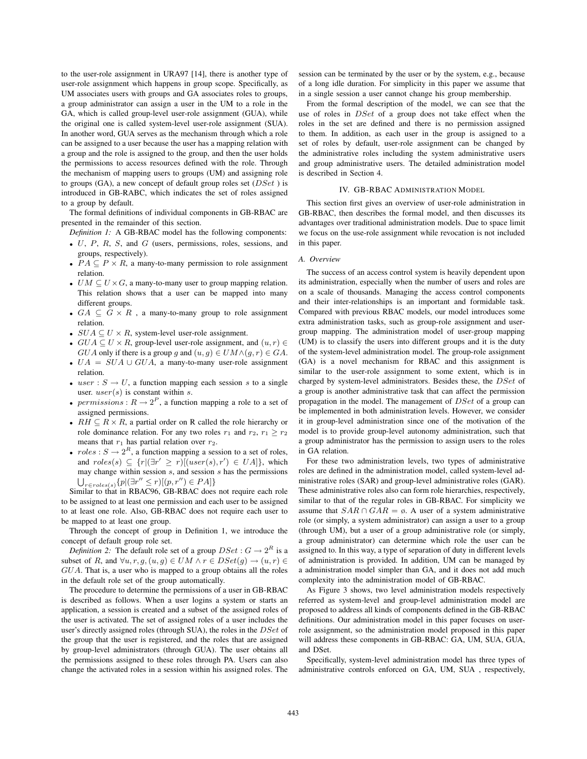to the user-role assignment in URA97 [14], there is another type of user-role assignment which happens in group scope. Specifically, as UM associates users with groups and GA associates roles to groups, a group administrator can assign a user in the UM to a role in the GA, which is called group-level user-role assignment (GUA), while the original one is called system-level user-role assignment (SUA). In another word, GUA serves as the mechanism through which a role can be assigned to a user because the user has a mapping relation with a group and the role is assigned to the group, and then the user holds the permissions to access resources defined with the role. Through the mechanism of mapping users to groups (UM) and assigning role to groups (GA), a new concept of default group roles set (*DSet* ) is introduced in GB-RABC, which indicates the set of roles assigned to a group by default.

The formal definitions of individual components in GB-RBAC are presented in the remainder of this section.

*Definition 1:* A GB-RBAC model has the following components:

- *U*, *P*, *R*, *S*, and *G* (users, permissions, roles, sessions, and groups, respectively).
- $PA \subseteq P \times R$ , a many-to-many permission to role assignment relation.
- *UM*  $\subseteq$  *U*  $\times$  *G*, a many-to-many user to group mapping relation. This relation shows that a user can be mapped into many different groups.
- $GA \subseteq G \times R$ , a many-to-many group to role assignment relation.
- $SUA \subseteq U \times R$ , system-level user-role assignment.
- $GUA \subseteq U \times R$ , group-level user-role assignment, and  $(u, r) \in$ *GUA* only if there is a group *g* and  $(u, g) \in UM \wedge (g, r) \in GA$ .
- *UA* <sup>=</sup> *SUA* <sup>∪</sup> *GUA*, a many-to-many user-role assignment relation.
- $user : S \rightarrow U$ , a function mapping each session *s* to a single user. *user*(*s*) is constant within *s*.
- *permissions* :  $R \rightarrow 2^P$ , a function mapping a role to a set of assigned permissions.
- $RH \subseteq R \times R$ , a partial order on R called the role hierarchy or role dominance relation. For any two roles  $r_1$  and  $r_2$ ,  $r_1 \ge r_2$ means that  $r_1$  has partial relation over  $r_2$ .
- *roles* :  $S \rightarrow 2^R$ , a function mapping a session to a set of roles, and  $roles(s) \subseteq \{r | (\exists r' \geq r) [(user(s), r') \in UA] \}$ , which may change within session *s*, and session *s* has the permissions may change within session *s*, and session *s* has the permissions  $\bigcup_{r \in roles(s)} \{p | (\exists r'' \le r) [(p, r'') \in PA] \}$ <br>milar to that in RBAC96, GB-RBAC does

Similar to that in RBAC96, GB-RBAC does not require each role to be assigned to at least one permission and each user to be assigned to at least one role. Also, GB-RBAC does not require each user to be mapped to at least one group.

Through the concept of group in Definition 1, we introduce the concept of default group role set.

*Definition 2:* The default role set of a group  $DSet: G \to 2^R$  is a subset of *R*, and  $\forall u, r, g, (u, g) \in UM \land r \in DSet(g) \rightarrow (u, r) \in$ *GUA*. That is, a user who is mapped to a group obtains all the roles in the default role set of the group automatically.

The procedure to determine the permissions of a user in GB-RBAC is described as follows. When a user logins a system or starts an application, a session is created and a subset of the assigned roles of the user is activated. The set of assigned roles of a user includes the user's directly assigned roles (through SUA), the roles in the *DSet* of the group that the user is registered, and the roles that are assigned by group-level administrators (through GUA). The user obtains all the permissions assigned to these roles through PA. Users can also change the activated roles in a session within his assigned roles. The

session can be terminated by the user or by the system, e.g., because of a long idle duration. For simplicity in this paper we assume that in a single session a user cannot change his group membership.

From the formal description of the model, we can see that the use of roles in *DSet* of a group does not take effect when the roles in the set are defined and there is no permission assigned to them. In addition, as each user in the group is assigned to a set of roles by default, user-role assignment can be changed by the administrative roles including the system administrative users and group administrative users. The detailed administration model is described in Section 4.

## IV. GB-RBAC ADMINISTRATION MODEL

This section first gives an overview of user-role administration in GB-RBAC, then describes the formal model, and then discusses its advantages over traditional administration models. Due to space limit we focus on the use-role assignment while revocation is not included in this paper.

#### *A. Overview*

The success of an access control system is heavily dependent upon its administration, especially when the number of users and roles are on a scale of thousands. Managing the access control components and their inter-relationships is an important and formidable task. Compared with previous RBAC models, our model introduces some extra administration tasks, such as group-role assignment and usergroup mapping. The administration model of user-group mapping (UM) is to classify the users into different groups and it is the duty of the system-level administration model. The group-role assignment (GA) is a novel mechanism for RBAC and this assignment is similar to the user-role assignment to some extent, which is in charged by system-level administrators. Besides these, the *DSet* of a group is another administrative task that can affect the permission propagation in the model. The management of *DSet* of a group can be implemented in both administration levels. However, we consider it in group-level administration since one of the motivation of the model is to provide group-level autonomy administration, such that a group administrator has the permission to assign users to the roles in GA relation.

For these two administration levels, two types of administrative roles are defined in the administration model, called system-level administrative roles (SAR) and group-level administrative roles (GAR). These administrative roles also can form role hierarchies, respectively, similar to that of the regular roles in GB-RBAC. For simplicity we assume that  $SAR \cap GAR = \emptyset$ . A user of a system administrative role (or simply, a system administrator) can assign a user to a group (through UM), but a user of a group administrative role (or simply, a group administrator) can determine which role the user can be assigned to. In this way, a type of separation of duty in different levels of administration is provided. In addition, UM can be managed by a administration model simpler than GA, and it does not add much complexity into the administration model of GB-RBAC.

As Figure 3 shows, two level administration models respectively referred as system-level and group-level administration model are proposed to address all kinds of components defined in the GB-RBAC definitions. Our administration model in this paper focuses on userrole assignment, so the administration model proposed in this paper will address these components in GB-RBAC: GA, UM, SUA, GUA, and DSet.

Specifically, system-level administration model has three types of administrative controls enforced on GA, UM, SUA , respectively,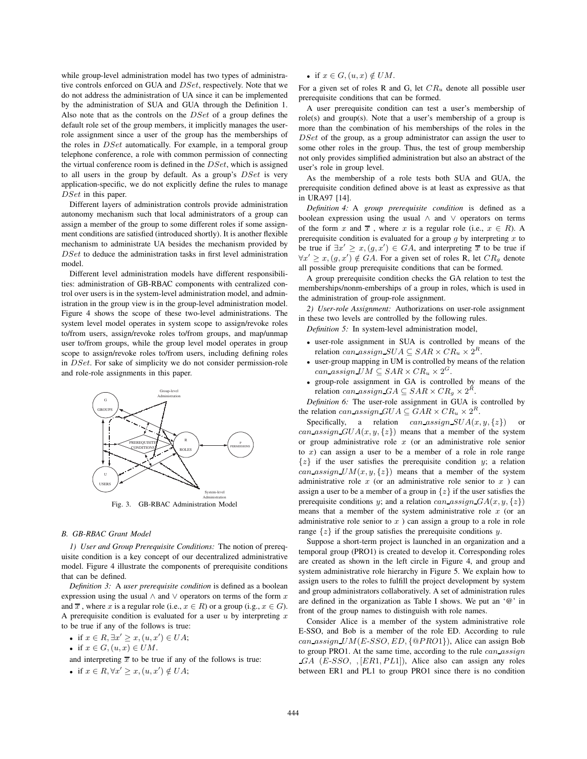while group-level administration model has two types of administrative controls enforced on GUA and *DSet*, respectively. Note that we do not address the administration of UA since it can be implemented by the administration of SUA and GUA through the Definition 1. Also note that as the controls on the *DSet* of a group defines the default role set of the group members, it implicitly manages the userrole assignment since a user of the group has the memberships of the roles in *DSet* automatically. For example, in a temporal group telephone conference, a role with common permission of connecting the virtual conference room is defined in the *DSet*, which is assigned to all users in the group by default. As a group's *DSet* is very application-specific, we do not explicitly define the rules to manage *DSet* in this paper.

Different layers of administration controls provide administration autonomy mechanism such that local administrators of a group can assign a member of the group to some different roles if some assignment conditions are satisfied (introduced shortly). It is another flexible mechanism to administrate UA besides the mechanism provided by *DSet* to deduce the administration tasks in first level administration model.

Different level administration models have different responsibilities: administration of GB-RBAC components with centralized control over users is in the system-level administration model, and administration in the group view is in the group-level administration model. Figure 4 shows the scope of these two-level administrations. The system level model operates in system scope to assign/revoke roles to/from users, assign/revoke roles to/from groups, and map/unmap user to/from groups, while the group level model operates in group scope to assign/revoke roles to/from users, including defining roles in *DSet*. For sake of simplicity we do not consider permission-role and role-role assignments in this paper.



Fig. 3. GB-RBAC Administration Model

## *B. GB-RBAC Grant Model*

*1) User and Group Prerequisite Conditions:* The notion of prerequisite condition is a key concept of our decentralized administrative model. Figure 4 illustrate the components of prerequisite conditions that can be defined.

*Definition 3:* A *user prerequisite condition* is defined as a boolean expression using the usual <sup>∧</sup> and <sup>∨</sup> operators on terms of the form *x* and  $\overline{x}$ , where *x* is a regular role (i.e.,  $x \in R$ ) or a group (i.g.,  $x \in G$ ). A prerequisite condition is evaluated for a user *u* by interpreting *x* to be true if any of the follows is true:

- if  $x \in R$ ,  $\exists x' \ge x$ ,  $(u, x') \in UA$ ;<br>
if  $x \in G$  ( $u, x$ ) ∈ *UM*
- if  $x \in G$ ,  $(u, x) \in UM$ .

and interpreting  $\bar{x}$  to be true if any of the follows is true:

• if  $x \in R, \forall x' \ge x, (u, x') \notin UA;$ 

• if  $x \in G$ ,  $(u, x) \notin UM$ .

For a given set of roles R and G, let *CRu* denote all possible user prerequisite conditions that can be formed.

A user prerequisite condition can test a user's membership of role(s) and group(s). Note that a user's membership of a group is more than the combination of his memberships of the roles in the *DSet* of the group, as a group administrator can assign the user to some other roles in the group. Thus, the test of group membership not only provides simplified administration but also an abstract of the user's role in group level.

As the membership of a role tests both SUA and GUA, the prerequisite condition defined above is at least as expressive as that in URA97 [14].

*Definition 4:* A *group prerequisite condition* is defined as a boolean expression using the usual ∧ and ∨ operators on terms of the form *x* and  $\overline{x}$ , where *x* is a regular role (i.e.,  $x \in R$ ). A prerequisite condition is evaluated for a group *g* by interpreting *x* to be true if  $\exists x' \geq x, (g, x') \in GA$ , and interpreting  $\overline{x}$  to be true if  $\forall x' > x$  (*a*  $x'$ )  $\notin GA$  For a given set of roles **R** let *GR* denote  $\forall x' \geq x, (g, x') \notin GA$ . For a given set of roles R, let  $CR_g$  denote all possible group prepayieite conditions that can be formed all possible group prerequisite conditions that can be formed.

A group prerequisite condition checks the GA relation to test the memberships/nonm-emberships of a group in roles, which is used in the administration of group-role assignment.

*2) User-role Assignment:* Authorizations on user-role assignment in these two levels are controlled by the following rules.

*Definition 5:* In system-level administration model,

- user-role assignment in SUA is controlled by means of the relation *can\_assign\_SUA*  $\subset$  *SAR*  $\times$  *CR<sub>u</sub>*  $\times$   $2^R$ .
- user-group mapping in UM is controlled by means of the relation *can assign UM* ⊆ *SAR* ×  $CR_u$  ×  $2^G$ .
- group-role assignment in GA is controlled by means of the relation *can\_assign\_GA*  $\subseteq$  *SAR*  $\times$  *CR<sub>g</sub>*  $\times$  2<sup>R</sup>.

*Definition 6:* The user-role assignment in GUA is controlled by the relation *can assign*  $GUA \subseteq GAR \times CR_u \times 2^R$ .

Specifically, a relation *can assign*  $SUA(x, y, \{z\})$  or *can assign GUA*( $x, y, \{z\}$ ) means that a member of the system or group administrative role *x* (or an administrative role senior to *x*) can assign a user to be a member of a role in role range  $\{z\}$  if the user satisfies the prerequisite condition *y*; a relation *can assign*  $UM(x, y, \{z\})$  means that a member of the system administrative role *x* (or an administrative role senior to *x* ) can assign a user to be a member of a group in  $\{z\}$  if the user satisfies the prerequisite conditions *y*; and a relation *can assign*  $GA(x, y, \{z\})$ means that a member of the system administrative role *x* (or an administrative role senior to  $x$ ) can assign a group to a role in role range  $\{z\}$  if the group satisfies the prerequisite conditions *y*.

Suppose a short-term project is launched in an organization and a temporal group (PRO1) is created to develop it. Corresponding roles are created as shown in the left circle in Figure 4, and group and system administrative role hierarchy in Figure 5. We explain how to assign users to the roles to fulfill the project development by system and group administrators collaboratively. A set of administration rules are defined in the organization as Table I shows. We put an '@' in front of the group names to distinguish with role names.

Consider Alice is a member of the system administrative role E-SSO, and Bob is a member of the role ED. According to rule *can assign UM*(*E*-*SSO, ED,* {@*P RO*1}), Alice can assign Bob to group PRO1. At the same time, according to the rule *can assign GA* (*E*-*SSO, ,* [*ER*1*,PL*1]), Alice also can assign any roles between ER1 and PL1 to group PRO1 since there is no condition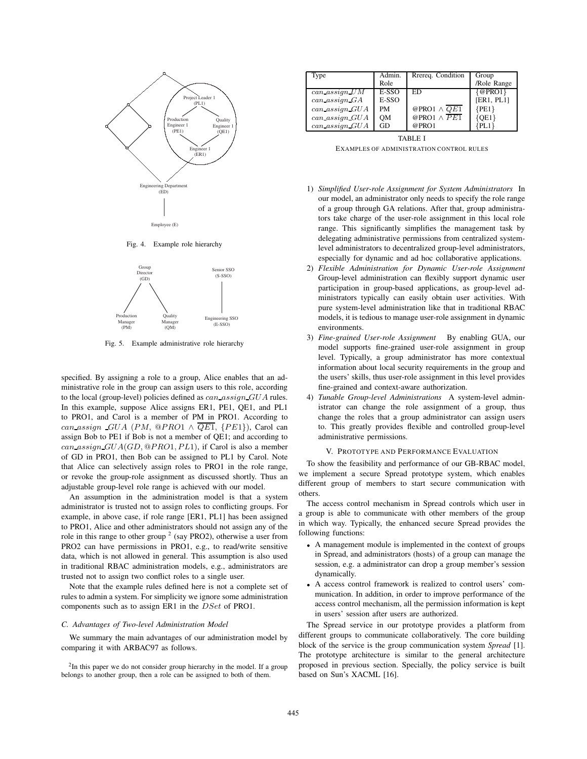

Fig. 4. Example role hierarchy



Fig. 5. Example administrative role hierarchy

specified. By assigning a role to a group, Alice enables that an administrative role in the group can assign users to this role, according to the local (group-level) policies defined as *can assign GUA* rules. In this example, suppose Alice assigns ER1, PE1, QE1, and PL1 to PRO1, and Carol is a member of PM in PRO1. According to *can assign GUA* (*PM,* @*PRO*1  $\land$   $\overline{QE1}$ , {*PE*1}), Carol can assign Bob to PE1 if Bob is not a member of QE1; and according to *can assign GUA*(*GD,* @*P RO*1*,PL*1), if Carol is also a member of GD in PRO1, then Bob can be assigned to PL1 by Carol. Note that Alice can selectively assign roles to PRO1 in the role range, or revoke the group-role assignment as discussed shortly. Thus an adjustable group-level role range is achieved with our model.

An assumption in the administration model is that a system administrator is trusted not to assign roles to conflicting groups. For example, in above case, if role range [ER1, PL1] has been assigned to PRO1, Alice and other administrators should not assign any of the role in this range to other group <sup>2</sup> (say PRO2), otherwise a user from PRO2 can have permissions in PRO1, e.g., to read/write sensitive data, which is not allowed in general. This assumption is also used in traditional RBAC administration models, e.g., administrators are trusted not to assign two conflict roles to a single user.

Note that the example rules defined here is not a complete set of rules to admin a system. For simplicity we ignore some administration components such as to assign ER1 in the *DSet* of PRO1.

#### *C. Advantages of Two-level Administration Model*

We summary the main advantages of our administration model by comparing it with ARBAC97 as follows.

<sup>2</sup>In this paper we do not consider group hierarchy in the model. If a group belongs to another group, then a role can be assigned to both of them.

| Type               | Admin.    | Rrereq. Condition  | Group       |
|--------------------|-----------|--------------------|-------------|
|                    | Role      |                    | /Role Range |
| $can$ assign $UM$  | $E-SSO$   | ED                 | $\{@PRO1\}$ |
| can assign GA      | E-SSO     |                    | [ER1, PL1]  |
| $can\_assign\ GUA$ | <b>PM</b> | @PRO1 $\land$ QE1  | ${PE1}$     |
| $can$ assign $GUA$ | <b>OM</b> | @PRO1 $\wedge$ PE1 | ${QE1}$     |
| can assign GUA     | GD        | @PRO1              | PL1         |
|                    |           |                    |             |

EXAMPLES OF ADMINISTRATION CONTROL RULES

- 1) *Simplified User-role Assignment for System Administrators* In our model, an administrator only needs to specify the role range of a group through GA relations. After that, group administrators take charge of the user-role assignment in this local role range. This significantly simplifies the management task by delegating administrative permissions from centralized systemlevel administrators to decentralized group-level administrators, especially for dynamic and ad hoc collaborative applications.
- 2) *Flexible Administration for Dynamic User-role Assignment* Group-level administration can flexibly support dynamic user participation in group-based applications, as group-level administrators typically can easily obtain user activities. With pure system-level administration like that in traditional RBAC models, it is tedious to manage user-role assignment in dynamic environments.
- 3) *Fine-grained User-role Assignment* By enabling GUA, our model supports fine-grained user-role assignment in group level. Typically, a group administrator has more contextual information about local security requirements in the group and the users' skills, thus user-role assignment in this level provides fine-grained and context-aware authorization.
- 4) *Tunable Group-level Administrations* A system-level administrator can change the role assignment of a group, thus change the roles that a group administrator can assign users to. This greatly provides flexible and controlled group-level administrative permissions.

## V. PROTOTYPE AND PERFORMANCE EVALUATION

To show the feasibility and performance of our GB-RBAC model, we implement a secure Spread prototype system, which enables different group of members to start secure communication with others.

The access control mechanism in Spread controls which user in a group is able to communicate with other members of the group in which way. Typically, the enhanced secure Spread provides the following functions:

- A management module is implemented in the context of groups in Spread, and administrators (hosts) of a group can manage the session, e.g. a administrator can drop a group member's session dynamically.
- A access control framework is realized to control users' communication. In addition, in order to improve performance of the access control mechanism, all the permission information is kept in users' session after users are authorized.

The Spread service in our prototype provides a platform from different groups to communicate collaboratively. The core building block of the service is the group communication system *Spread* [1]. The prototype architecture is similar to the general architecture proposed in previous section. Specially, the policy service is built based on Sun's XACML [16].